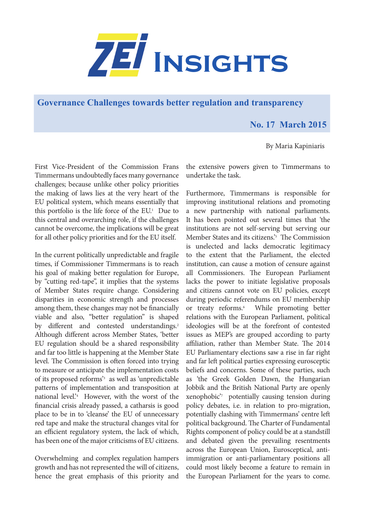

**Governance Challenges towards better regulation and transparency**

## **No. 17 March 2015**

By Maria Kapiniaris

First Vice-President of the Commission Frans Timmermans undoubtedly faces many governance challenges; because unlike other policy priorities the making of laws lies at the very heart of the EU political system, which means essentially that this portfolio is the life force of the  $EU$ <sup>1</sup> Due to this central and overarching role, if the challenges cannot be overcome, the implications will be great for all other policy priorities and for the EU itself.

In the current politically unpredictable and fragile times, if Commissioner Timmermans is to reach his goal of making better regulation for Europe, by "cutting red-tape", it implies that the systems of Member States require change. Considering disparities in economic strength and processes among them, these changes may not be financially viable and also, "better regulation" is shaped by different and contested understandings.<sup>2</sup> Although different across Member States, 'better EU regulation should be a shared responsibility and far too little is happening at the Member State level. The Commission is often forced into trying to measure or anticipate the implementation costs of its proposed reforms'3 as well as 'unpredictable patterns of implementation and transposition at national level.'4 However, with the worst of the financial crisis already passed, a catharsis is good place to be in to 'cleanse' the EU of unnecessary red tape and make the structural changes vital for an efficient regulatory system, the lack of which, has been one of the major criticisms of EU citizens.

Overwhelming and complex regulation hampers growth and has not represented the will of citizens, hence the great emphasis of this priority and the extensive powers given to Timmermans to undertake the task.

Furthermore, Timmermans is responsible for improving institutional relations and promoting a new partnership with national parliaments. It has been pointed out several times that 'the institutions are not self-serving but serving our Member States and its citizens.<sup>5</sup> The Commission is unelected and lacks democratic legitimacy to the extent that the Parliament, the elected institution, can cause a motion of censure against all Commissioners. The European Parliament lacks the power to initiate legislative proposals and citizens cannot vote on EU policies, except during periodic referendums on EU membership or treaty reforms.<sup>6</sup> While promoting better relations with the European Parliament, political ideologies will be at the forefront of contested issues as MEP's are grouped according to party affiliation, rather than Member State. The 2014 EU Parliamentary elections saw a rise in far right and far left political parties expressing eurosceptic beliefs and concerns. Some of these parties, such as 'the Greek Golden Dawn, the Hungarian Jobbik and the British National Party are openly xenophobic'7 potentially causing tension during policy debates, i.e. in relation to pro-migration, potentially clashing with Timmermans' centre left political background. The Charter of Fundamental Rights component of policy could be at a standstill and debated given the prevailing resentments across the European Union, Eurosceptical, antiimmigration or anti-parliamentary positions all could most likely become a feature to remain in the European Parliament for the years to come.